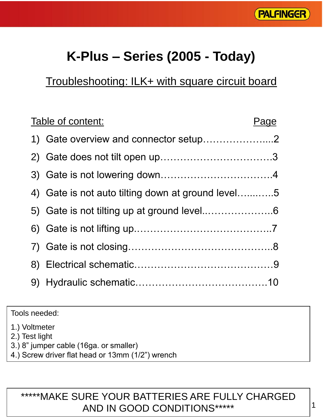

# **K-Plus – Series (2005 - Today)**

## Troubleshooting: ILK+ with square circuit board

| Table of content:                                 | Page |
|---------------------------------------------------|------|
| 1) Gate overview and connector setup2             |      |
|                                                   |      |
|                                                   |      |
| 4) Gate is not auto tilting down at ground level5 |      |
|                                                   |      |
|                                                   |      |
|                                                   |      |
|                                                   |      |
|                                                   |      |

Tools needed:

1.) Voltmeter

2.) Test light

- 3.) 8" jumper cable (16ga. or smaller)
- 4.) Screw driver flat head or 13mm (1/2") wrench

### \*\*\*\*\*MAKE SURE YOUR BATTERIES ARE FULLY CHARGED AND IN GOOD CONDITIONS\*\*\*\*\*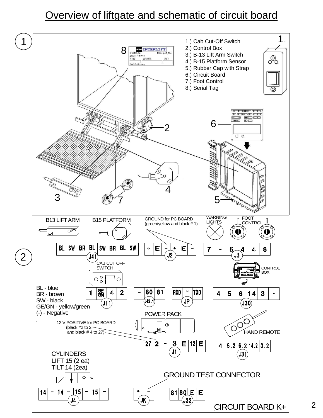### Overview of liftgate and schematic of circuit board

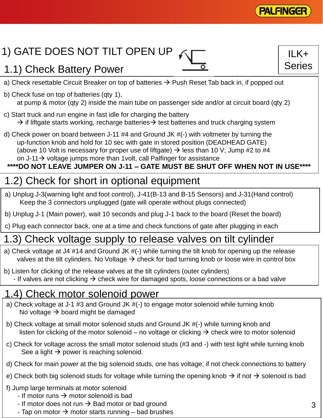

 $ILK+$ 

Series

# 1) GATE DOES NOT TILT OPEN UP

### 1.1) Check Battery Power

a) Check resettable Circuit Breaker on top of batteries  $\rightarrow$  Push Reset Tab back in, if popped out

- b) Check fuse on top of batteries (qty 1), at pump & motor (qty 2) inside the main tube on passenger side and/or at circuit board (qty 2)
- c) Start truck and run engine in fast idle for charging the battery  $\rightarrow$  if liftgate starts working, recharge batteries  $\rightarrow$  test batteries and truck charging system
- d) Check power on board between J-11 #4 and Ground JK #(-) with voltmeter by turning the up-function knob and hold for 10 sec with gate in stored position (DEADHEAD GATE) (above 10 Volt is necessary for proper use of liftgate)  $\rightarrow$  less than 10 V; Jump #2 to #4 on J-11 $\rightarrow$  voltage jumps more than 1volt, call Palfinger for assistance

#### **\*\*\*\*DO NOT LEAVE JUMPER ON J-11 – GATE MUST BE SHUT OFF WHEN NOT IN USE\*\*\*\***

## 1.2) Check for short in optional equipment

- a) Unplug J-3(warning light and foot control), J-41(B-13 and B-15 Sensors) and J-31(Hand control) Keep the 3 connectors unplugged (gate will operate without plugs connected)
- b) Unplug J-1 (Main power), wait 10 seconds and plug J-1 back to the board (Reset the board)
- c) Plug each connector back, one at a time and check functions of gate after plugging in each

### 1.3) Check voltage supply to release valves on tilt cylinder

- a) Check voltage at J4 #14 and Ground JK #(-) while turning the tilt knob for opening up the release valves at the tilt cylinders. No Voltage  $\rightarrow$  check for bad turning knob or loose wire in control box
- b) Listen for clicking of the release valves at the tilt cylinders (outer cylinders)
	- If valves are not clicking  $\rightarrow$  check wire for damaged spots, loose connections or a bad valve

### 1.4) Check motor solenoid power

- a) Check voltage at J-1 #3 and Ground JK #(-) to engage motor solenoid while turning knob No voltage  $\rightarrow$  board might be damaged
- b) Check voltage at small motor solenoid studs and Ground JK #(-) while turning knob and listen for clicking of the motor solenoid – no voltage or clicking  $\rightarrow$  check wire to motor solenoid
- c) Check for voltage across the small motor solenoid studs (#3 and -) with test light while turning knob See a light  $\rightarrow$  power is reaching solenoid.
- d) Check for main power at the big solenoid studs, one has voltage; if not check connections to battery
- e) Check both big solenoid studs for voltage while turning the opening knob  $\rightarrow$  if not  $\rightarrow$  solenoid is bad
- f) Jump large terminals at motor solenoid
	- If motor runs  $\rightarrow$  motor solenoid is bad
	- If motor does not run  $\rightarrow$  Bad motor or bad ground
	- Tap on motor  $\rightarrow$  motor starts running bad brushes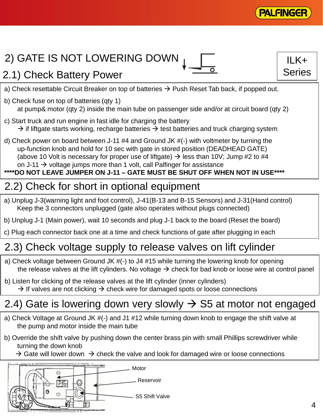

 $II K+$ 

Series

# 2) GATE IS NOT LOWERING DOWN <sub>I</sub>

### 2.1) Check Battery Power

a) Check resettable Circuit Breaker on top of batteries  $\rightarrow$  Push Reset Tab back, if popped out.

- b) Check fuse on top of batteries (qty 1) at pump& motor (qty 2) inside the main tube on passenger side and/or at circuit board (qty 2)
- c) Start truck and run engine in fast idle for charging the battery  $\rightarrow$  if liftgate starts working, recharge batteries  $\rightarrow$  test batteries and truck charging system
- d) Check power on board between J-11 #4 and Ground JK #(-) with voltmeter by turning the up-function knob and hold for 10 sec with gate in stored position (DEADHEAD GATE) (above 10 Volt is necessary for proper use of liftgate)  $\rightarrow$  less than 10V; Jump #2 to #4 on J-11  $\rightarrow$  voltage jumps more than 1 volt, call Palfinger for assistance

#### **\*\*\*\*DO NOT LEAVE JUMPER ON J-11 – GATE MUST BE SHUT OFF WHEN NOT IN USE\*\*\*\***

### 2.2) Check for short in optional equipment

- a) Unplug J-3(warning light and foot control), J-41(B-13 and B-15 Sensors) and J-31(Hand control) Keep the 3 connectors unplugged (gate also operates without plugs connected)
- b) Unplug J-1 (Main power), wait 10 seconds and plug J-1 back to the board (Reset the board)
- c) Plug each connector back one at a time and check functions of gate after plugging in each

## 2.3) Check voltage supply to release valves on lift cylinder

- a) Check voltage between Ground JK #(-) to J4 #15 while turning the lowering knob for opening the release valves at the lift cylinders. No voltage  $\rightarrow$  check for bad knob or loose wire at control panel
- b) Listen for clicking of the release valves at the lift cylinder (inner cylinders)  $\rightarrow$  If valves are not clicking  $\rightarrow$  check wire for damaged spots or loose connections

## 2.4) Gate is lowering down very slowly  $\rightarrow$  S5 at motor not engaged

- a) Check Voltage at Ground JK #(-) and J1 #12 while turning down knob to engage the shift valve at the pump and motor inside the main tube
- b) Override the shift valve by pushing down the center brass pin with small Phillips screwdriver while turning the down knob
	- $\rightarrow$  Gate will lower down  $\rightarrow$  check the valve and look for damaged wire or loose connections

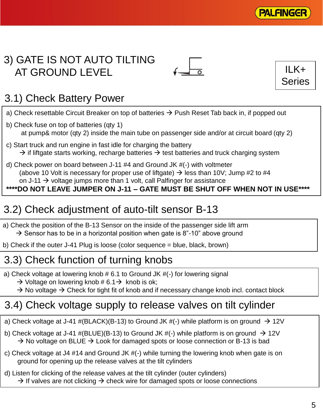

### 3) GATE IS NOT AUTO TILTING AT GROUND LEVEL





## 3.1) Check Battery Power

- a) Check resettable Circuit Breaker on top of batteries  $\rightarrow$  Push Reset Tab back in, if popped out
- b) Check fuse on top of batteries (qty 1) at pump& motor (qty 2) inside the main tube on passenger side and/or at circuit board (qty 2)
- c) Start truck and run engine in fast idle for charging the battery  $\rightarrow$  if liftgate starts working, recharge batteries  $\rightarrow$  test batteries and truck charging system
- d) Check power on board between J-11 #4 and Ground JK #(-) with voltmeter (above 10 Volt is necessary for proper use of liftgate)  $\rightarrow$  less than 10V; Jump #2 to #4 on J-11  $\rightarrow$  voltage jumps more than 1 volt, call Palfinger for assistance

#### **\*\*\*\*DO NOT LEAVE JUMPER ON J-11 – GATE MUST BE SHUT OFF WHEN NOT IN USE\*\*\*\***

## 3.2) Check adjustment of auto-tilt sensor B-13

a) Check the position of the B-13 Sensor on the inside of the passenger side lift arm  $\rightarrow$  Sensor has to be in a horizontal position when gate is 8"-10" above ground

b) Check if the outer J-41 Plug is loose (color sequence = blue, black, brown)

## 3.3) Check function of turning knobs

a) Check voltage at lowering knob # 6.1 to Ground JK #(-) for lowering signal

 $\rightarrow$  Voltage on lowering knob # 6.1  $\rightarrow$  knob is ok;

 $\rightarrow$  No voltage  $\rightarrow$  Check for tight fit of knob and if necessary change knob incl. contact block

## 3.4) Check voltage supply to release valves on tilt cylinder

- a) Check voltage at J-41 #(BLACK)(B-13) to Ground JK #(-) while platform is on ground  $\rightarrow$  12V
- b) Check voltage at J-41 #(BLUE)(B-13) to Ground JK #(-) while platform is on ground  $\rightarrow$  12V  $\rightarrow$  No voltage on BLUE  $\rightarrow$  Look for damaged spots or loose connection or B-13 is bad
- c) Check voltage at J4 #14 and Ground JK #(-) while turning the lowering knob when gate is on ground for opening up the release valves at the tilt cylinders
- d) Listen for clicking of the release valves at the tilt cylinder (outer cylinders)  $\rightarrow$  If valves are not clicking  $\rightarrow$  check wire for damaged spots or loose connections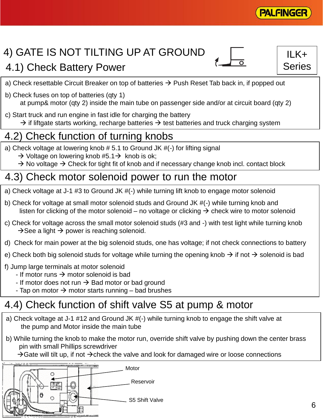

# 4) GATE IS NOT TILTING UP AT GROUND

### 4.1) Check Battery Power

 $II K+$ Series

a) Check resettable Circuit Breaker on top of batteries  $\rightarrow$  Push Reset Tab back in, if popped out

- b) Check fuses on top of batteries (qty 1) at pump& motor (qty 2) inside the main tube on passenger side and/or at circuit board (qty 2)
- c) Start truck and run engine in fast idle for charging the battery

 $\rightarrow$  if liftgate starts working, recharge batteries  $\rightarrow$  test batteries and truck charging system

### 4.2) Check function of turning knobs

- a) Check voltage at lowering knob # 5.1 to Ground JK #(-) for lifting signal
	- $\rightarrow$  Voltage on lowering knob #5.1  $\rightarrow$  knob is ok;
	- $\rightarrow$  No voltage  $\rightarrow$  Check for tight fit of knob and if necessary change knob incl. contact block

### 4.3) Check motor solenoid power to run the motor

- a) Check voltage at J-1 #3 to Ground JK #(-) while turning lift knob to engage motor solenoid
- b) Check for voltage at small motor solenoid studs and Ground JK #(-) while turning knob and listen for clicking of the motor solenoid – no voltage or clicking  $\rightarrow$  check wire to motor solenoid
- c) Check for voltage across the small motor solenoid studs (#3 and -) with test light while turning knob  $\rightarrow$  See a light  $\rightarrow$  power is reaching solenoid.
- d) Check for main power at the big solenoid studs, one has voltage; if not check connections to battery
- e) Check both big solenoid studs for voltage while turning the opening knob  $\rightarrow$  if not  $\rightarrow$  solenoid is bad
- f) Jump large terminals at motor solenoid
	- If motor runs  $\rightarrow$  motor solenoid is bad
	- If motor does not run  $\rightarrow$  Bad motor or bad ground
	- Tap on motor  $\rightarrow$  motor starts running bad brushes

## 4.4) Check function of shift valve S5 at pump & motor

- a) Check voltage at J-1 #12 and Ground JK #(-) while turning knob to engage the shift valve at the pump and Motor inside the main tube
- b) While turning the knob to make the motor run, override shift valve by pushing down the center brass pin with small Phillips screwdriver

 $\rightarrow$  Gate will tilt up, if not  $\rightarrow$  check the valve and look for damaged wire or loose connections

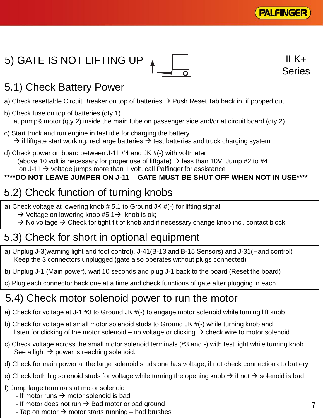

 $ILK+$ 

Series

# 5) GATE IS NOT LIFTING UP



# 5.1) Check Battery Power

- a) Check resettable Circuit Breaker on top of batteries  $\rightarrow$  Push Reset Tab back in, if popped out.
- b) Check fuse on top of batteries (qty 1) at pump& motor (qty 2) inside the main tube on passenger side and/or at circuit board (qty 2)
- c) Start truck and run engine in fast idle for charging the battery  $\rightarrow$  if liftgate start working, recharge batteries  $\rightarrow$  test batteries and truck charging system
- d) Check power on board between J-11 #4 and JK #(-) with voltmeter (above 10 volt is necessary for proper use of liftgate)  $\rightarrow$  less than 10V; Jump #2 to #4 on J-11  $\rightarrow$  voltage jumps more than 1 volt, call Palfinger for assistance

#### **\*\*\*\*DO NOT LEAVE JUMPER ON J-11 – GATE MUST BE SHUT OFF WHEN NOT IN USE\*\*\*\***

## 5.2) Check function of turning knobs

- a) Check voltage at lowering knob # 5.1 to Ground JK #(-) for lifting signal
	- $\rightarrow$  Voltage on lowering knob #5.1 $\rightarrow$  knob is ok;
	- $\rightarrow$  No voltage  $\rightarrow$  Check for tight fit of knob and if necessary change knob incl. contact block

## 5.3) Check for short in optional equipment

- a) Unplug J-3(warning light and foot control), J-41(B-13 and B-15 Sensors) and J-31(Hand control) Keep the 3 connectors unplugged (gate also operates without plugs connected)
- b) Unplug J-1 (Main power), wait 10 seconds and plug J-1 back to the board (Reset the board)
- c) Plug each connector back one at a time and check functions of gate after plugging in each.

## 5.4) Check motor solenoid power to run the motor

- a) Check for voltage at J-1 #3 to Ground JK #(-) to engage motor solenoid while turning lift knob
- b) Check for voltage at small motor solenoid studs to Ground JK #(-) while turning knob and listen for clicking of the motor solenoid – no voltage or clicking  $\rightarrow$  check wire to motor solenoid
- c) Check voltage across the small motor solenoid terminals (#3 and -) with test light while turning knob See a light  $\rightarrow$  power is reaching solenoid.
- d) Check for main power at the large solenoid studs one has voltage; if not check connections to battery
- e) Check both big solenoid studs for voltage while turning the opening knob  $\rightarrow$  if not  $\rightarrow$  solenoid is bad
- f) Jump large terminals at motor solenoid
	- If motor runs  $\rightarrow$  motor solenoid is bad
	- If motor does not run  $\rightarrow$  Bad motor or bad ground
	- Tap on motor  $\rightarrow$  motor starts running bad brushes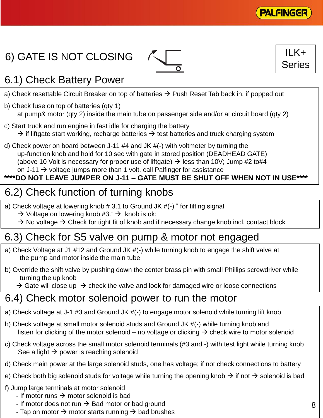

# 6) GATE IS NOT CLOSING





## 6.1) Check Battery Power

- a) Check resettable Circuit Breaker on top of batteries  $\rightarrow$  Push Reset Tab back in, if popped out
- b) Check fuse on top of batteries (qty 1) at pump& motor (qty 2) inside the main tube on passenger side and/or at circuit board (qty 2)
- c) Start truck and run engine in fast idle for charging the battery  $\rightarrow$  if liftgate start working, recharge batteries  $\rightarrow$  test batteries and truck charging system
- d) Check power on board between J-11 #4 and JK #(-) with voltmeter by turning the up-function knob and hold for 10 sec with gate in stored position (DEADHEAD GATE) (above 10 Volt is necessary for proper use of liftgate)  $\rightarrow$  less than 10V; Jump #2 to#4 on J-11  $\rightarrow$  voltage jumps more than 1 volt, call Palfinger for assistance

### **\*\*\*\*DO NOT LEAVE JUMPER ON J-11 – GATE MUST BE SHUT OFF WHEN NOT IN USE\*\*\*\***

## 6.2) Check function of turning knobs

a) Check voltage at lowering knob # 3.1 to Ground JK #(-) " for tilting signal

- $\rightarrow$  Voltage on lowering knob #3.1  $\rightarrow$  knob is ok;
- $\rightarrow$  No voltage  $\rightarrow$  Check for tight fit of knob and if necessary change knob incl. contact block

## 6.3) Check for S5 valve on pump & motor not engaged

- a) Check Voltage at J1 #12 and Ground JK #(-) while turning knob to engage the shift valve at the pump and motor inside the main tube
- b) Override the shift valve by pushing down the center brass pin with small Phillips screwdriver while turning the up knob
	- $\rightarrow$  Gate will close up  $\rightarrow$  check the valve and look for damaged wire or loose connections

### 6.4) Check motor solenoid power to run the motor

- a) Check voltage at J-1 #3 and Ground JK #(-) to engage motor solenoid while turning lift knob
- b) Check voltage at small motor solenoid studs and Ground JK #(-) while turning knob and listen for clicking of the motor solenoid – no voltage or clicking  $\rightarrow$  check wire to motor solenoid
- c) Check voltage across the small motor solenoid terminals (#3 and -) with test light while turning knob See a light  $\rightarrow$  power is reaching solenoid
- d) Check main power at the large solenoid studs, one has voltage; if not check connections to battery
- e) Check both big solenoid studs for voltage while turning the opening knob  $\rightarrow$  if not  $\rightarrow$  solenoid is bad
- f) Jump large terminals at motor solenoid
	- If motor runs  $\rightarrow$  motor solenoid is bad
	- If motor does not run  $\rightarrow$  Bad motor or bad ground
	- Tap on motor  $\rightarrow$  motor starts running  $\rightarrow$  bad brushes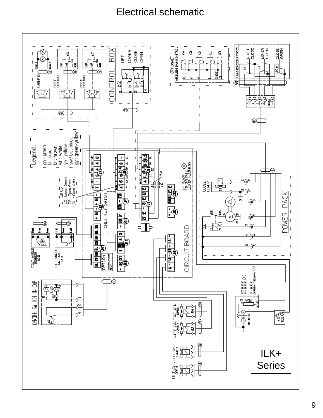### Electrical schematic